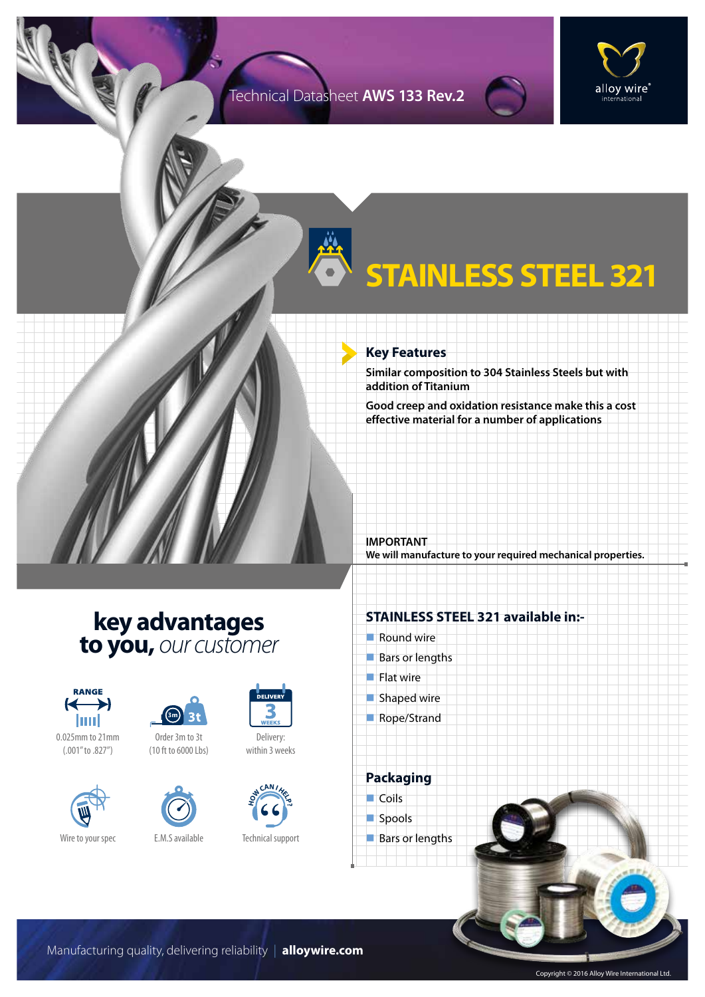### Technical Datasheet **AWS 133 Rev.2**



# **STAINLESS STEEL 321**

### **Key Features**

**Similar composition to 304 Stainless Steels but with addition of Titanium**

**Good creep and oxidation resistance make this a cost effective material for a number of applications**

**IMPORTANT We will manufacture to your required mechanical properties.**

## **key advantages to you,** *our customer*



0.025mm to 21mm (.001" to .827")





Order 3m to 3t (10 ft to 6000 Lbs)



Wire to your spec E.M.S available



Delivery: within 3 weeks



#### Technical support

### **STAINLESS STEEL 321 available in:-**

- $\blacksquare$  Round wire
- $Bars$  or lengths
- $\blacksquare$  Flat wire
- $\blacksquare$  Shaped wire
- Rope/Strand

**Packaging**  $\Box$  Coils



 $\blacksquare$  Bars or lengths

Manufacturing quality, delivering reliability | **alloywire.com**

Copyright © 2016 Alloy Wire International Ltd.